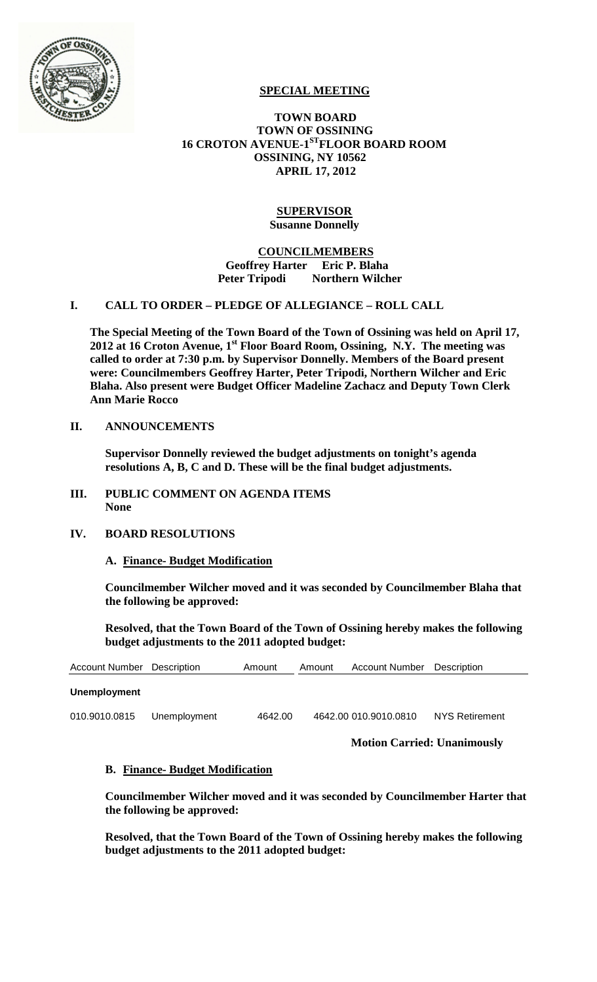

# **SPECIAL MEETING**

# **TOWN BOARD TOWN OF OSSINING 16 CROTON AVENUE-1STFLOOR BOARD ROOM OSSINING, NY 10562 APRIL 17, 2012**

### **SUPERVISOR Susanne Donnelly**

### **COUNCILMEMBERS Geoffrey Harter Eric P. Blaha Peter Tripodi Northern Wilcher**

# **I. CALL TO ORDER – PLEDGE OF ALLEGIANCE – ROLL CALL**

**The Special Meeting of the Town Board of the Town of Ossining was held on April 17,**  2012 at 16 Croton Avenue, 1<sup>st</sup> Floor Board Room, Ossining, N.Y. The meeting was **called to order at 7:30 p.m. by Supervisor Donnelly. Members of the Board present were: Councilmembers Geoffrey Harter, Peter Tripodi, Northern Wilcher and Eric Blaha. Also present were Budget Officer Madeline Zachacz and Deputy Town Clerk Ann Marie Rocco**

### **II. ANNOUNCEMENTS**

**Supervisor Donnelly reviewed the budget adjustments on tonight's agenda resolutions A, B, C and D. These will be the final budget adjustments.**

#### **III. PUBLIC COMMENT ON AGENDA ITEMS None**

# **IV. BOARD RESOLUTIONS**

# **A. Finance- Budget Modification**

**Councilmember Wilcher moved and it was seconded by Councilmember Blaha that the following be approved:**

**Resolved, that the Town Board of the Town of Ossining hereby makes the following budget adjustments to the 2011 adopted budget:**

| <b>Account Number</b> Description | Amount | Amount | <b>Account Number</b> Description |  |
|-----------------------------------|--------|--------|-----------------------------------|--|
|                                   |        |        |                                   |  |

### **Unemployment**

010.9010.0815 Unemployment 4642.00 4642.00 010.9010.0810 NYS Retirement

**Motion Carried: Unanimously**

#### **B. Finance- Budget Modification**

**Councilmember Wilcher moved and it was seconded by Councilmember Harter that the following be approved:**

**Resolved, that the Town Board of the Town of Ossining hereby makes the following budget adjustments to the 2011 adopted budget:**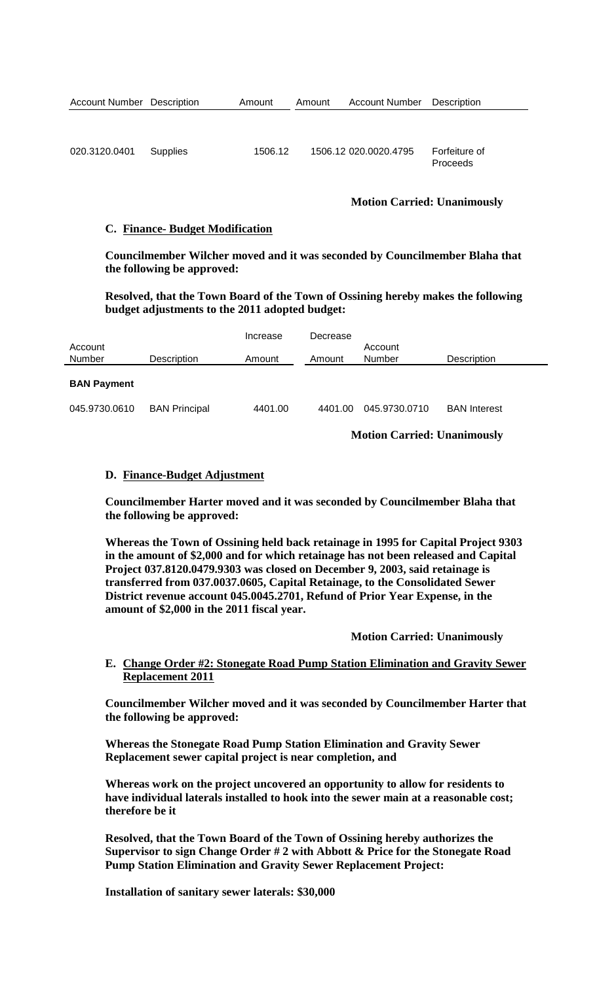|  | <b>Account Number Description</b> | Amount | Amount |  | <b>Account Number</b> Description |
|--|-----------------------------------|--------|--------|--|-----------------------------------|
|--|-----------------------------------|--------|--------|--|-----------------------------------|

| 020.3120.0401 Supplies | 1506.12 | 1506.12 020.0020.4795 | Forfeiture of |
|------------------------|---------|-----------------------|---------------|
|                        |         |                       | Proceeds      |

# **Motion Carried: Unanimously**

#### **C. Finance- Budget Modification**

**Councilmember Wilcher moved and it was seconded by Councilmember Blaha that the following be approved:**

**Resolved, that the Town Board of the Town of Ossining hereby makes the following budget adjustments to the 2011 adopted budget:**

| Account            |                      | Increase | Decrease      | Account       |                     |  |
|--------------------|----------------------|----------|---------------|---------------|---------------------|--|
| Number             | Description          | Amount   | Amount        | Number        | Description         |  |
| <b>BAN Payment</b> |                      |          |               |               |                     |  |
| 045.9730.0610      | <b>BAN Principal</b> | 4401.00  | 4401.00       | 045.9730.0710 | <b>BAN Interest</b> |  |
|                    |                      |          | $  \sim$<br>. |               |                     |  |

**Motion Carried: Unanimously**

### **D. Finance-Budget Adjustment**

**Councilmember Harter moved and it was seconded by Councilmember Blaha that the following be approved:**

**Whereas the Town of Ossining held back retainage in 1995 for Capital Project 9303 in the amount of \$2,000 and for which retainage has not been released and Capital Project 037.8120.0479.9303 was closed on December 9, 2003, said retainage is transferred from 037.0037.0605, Capital Retainage, to the Consolidated Sewer District revenue account 045.0045.2701, Refund of Prior Year Expense, in the amount of \$2,000 in the 2011 fiscal year.**

**Motion Carried: Unanimously**

# **E. Change Order #2: Stonegate Road Pump Station Elimination and Gravity Sewer Replacement 2011**

**Councilmember Wilcher moved and it was seconded by Councilmember Harter that the following be approved:**

**Whereas the Stonegate Road Pump Station Elimination and Gravity Sewer Replacement sewer capital project is near completion, and** 

**Whereas work on the project uncovered an opportunity to allow for residents to have individual laterals installed to hook into the sewer main at a reasonable cost; therefore be it**

**Resolved, that the Town Board of the Town of Ossining hereby authorizes the Supervisor to sign Change Order # 2 with Abbott & Price for the Stonegate Road Pump Station Elimination and Gravity Sewer Replacement Project:** 

**Installation of sanitary sewer laterals: \$30,000**